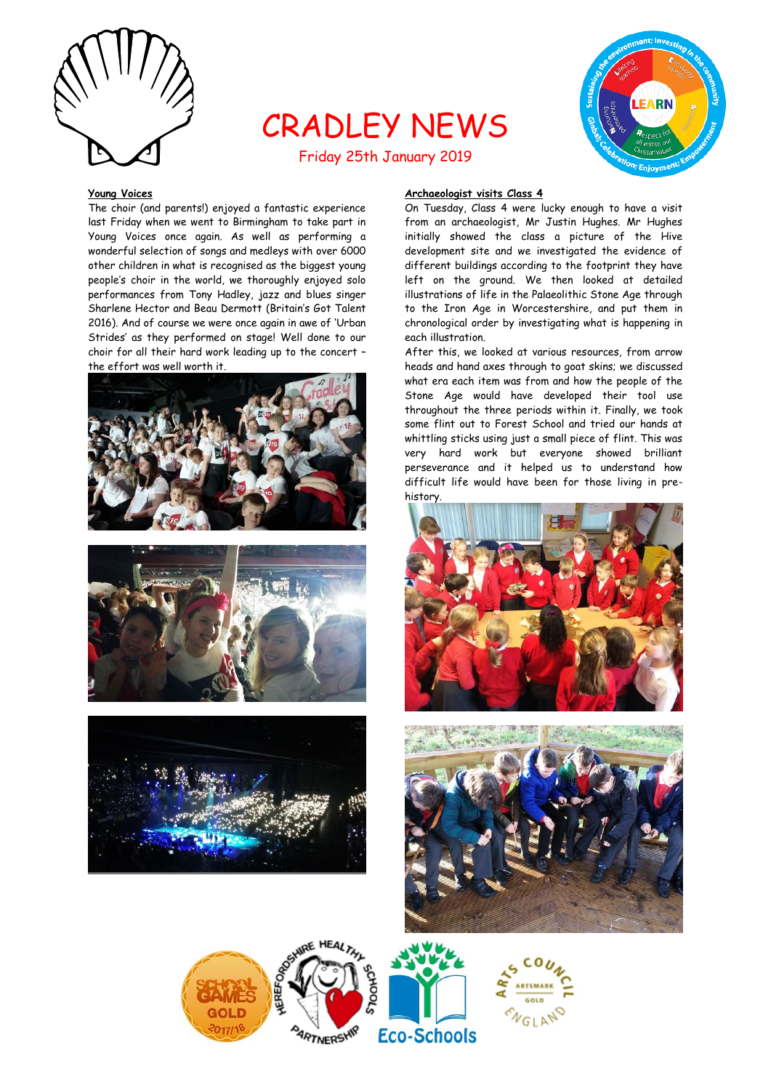

# CRADLEY NEWS



# Friday 25th January 2019

## **Young Voices**

The choir (and parents!) enjoyed a fantastic experience last Friday when we went to Birmingham to take part in Young Voices once again. As well as performing a wonderful selection of songs and medleys with over 6000 other children in what is recognised as the biggest young people's choir in the world, we thoroughly enjoyed solo performances from Tony Hadley, jazz and blues singer Sharlene Hector and Beau Dermott (Britain's Got Talent 2016). And of course we were once again in awe of 'Urban Strides' as they performed on stage! Well done to our choir for all their hard work leading up to the concert – the effort was well worth it.







# **Archaeologist visits Class 4**

On Tuesday, Class 4 were lucky enough to have a visit from an archaeologist, Mr Justin Hughes. Mr Hughes initially showed the class a picture of the Hive development site and we investigated the evidence of different buildings according to the footprint they have left on the ground. We then looked at detailed illustrations of life in the Palaeolithic Stone Age through to the Iron Age in Worcestershire, and put them in chronological order by investigating what is happening in each illustration.

After this, we looked at various resources, from arrow heads and hand axes through to goat skins; we discussed what era each item was from and how the people of the Stone Age would have developed their tool use throughout the three periods within it. Finally, we took some flint out to Forest School and tried our hands at whittling sticks using just a small piece of flint. This was very hard work but everyone showed brilliant perseverance and it helped us to understand how difficult life would have been for those living in prehistory.





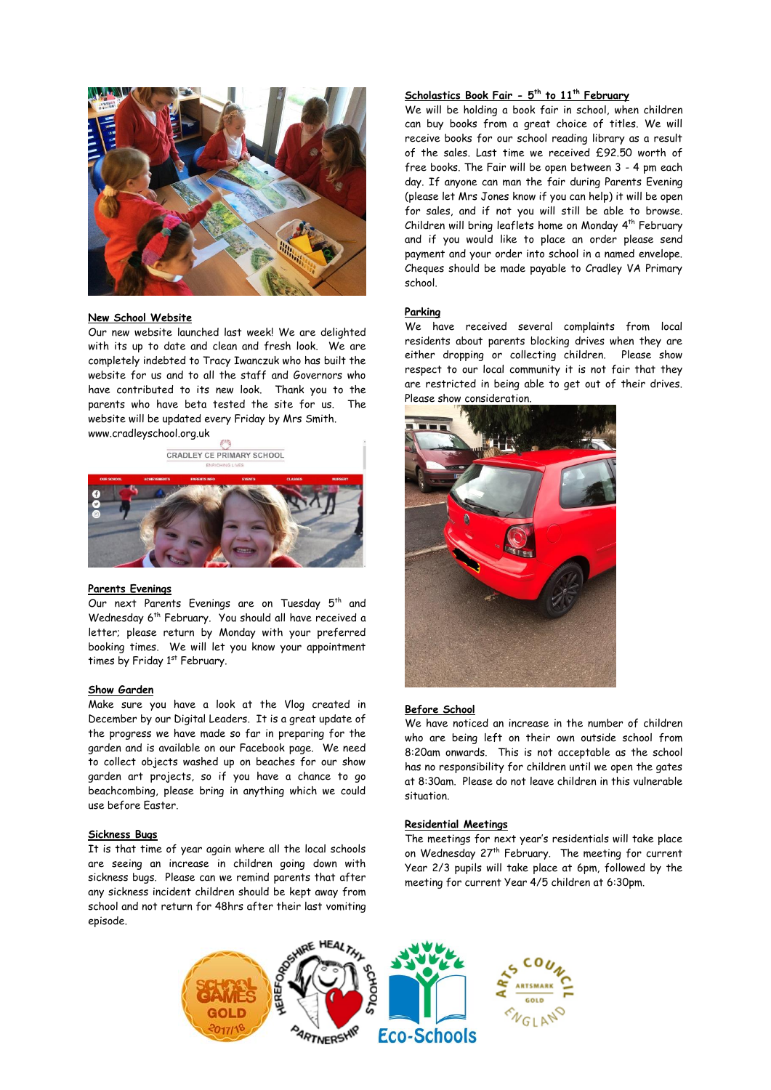

### **New School Website**

Our new website launched last week! We are delighted with its up to date and clean and fresh look. We are completely indebted to Tracy Iwanczuk who has built the website for us and to all the staff and Governors who have contributed to its new look. Thank you to the parents who have beta tested the site for us. The website will be updated every Friday by Mrs Smith. www.cradleyschool.org.uk

CRADLEY CE PRIMARY SCHOOL



#### **Parents Evenings**

Our next Parents Evenings are on Tuesday 5<sup>th</sup> and Wednesday 6<sup>th</sup> February. You should all have received a letter; please return by Monday with your preferred booking times. We will let you know your appointment times by Friday 1st February.

#### **Show Garden**

Make sure you have a look at the Vlog created in December by our Digital Leaders. It is a great update of the progress we have made so far in preparing for the garden and is available on our Facebook page. We need to collect objects washed up on beaches for our show garden art projects, so if you have a chance to go beachcombing, please bring in anything which we could use before Easter.

# **Sickness Bugs**

It is that time of year again where all the local schools are seeing an increase in children going down with sickness bugs. Please can we remind parents that after any sickness incident children should be kept away from school and not return for 48hrs after their last vomiting episode.

#### **Scholastics Book Fair - 5 th to 11th February**

We will be holding a book fair in school, when children can buy books from a great choice of titles. We will receive books for our school reading library as a result of the sales. Last time we received £92.50 worth of free books. The Fair will be open between 3 - 4 pm each day. If anyone can man the fair during Parents Evening (please let Mrs Jones know if you can help) it will be open for sales, and if not you will still be able to browse. Children will bring leaflets home on Monday 4 th February and if you would like to place an order please send payment and your order into school in a named envelope. Cheques should be made payable to Cradley VA Primary school.

#### **Parking**

We have received several complaints from local residents about parents blocking drives when they are either dropping or collecting children. Please show respect to our local community it is not fair that they are restricted in being able to get out of their drives. Please show consideration.



#### **Before School**

We have noticed an increase in the number of children who are being left on their own outside school from 8:20am onwards. This is not acceptable as the school has no responsibility for children until we open the gates at 8:30am. Please do not leave children in this vulnerable situation.

#### **Residential Meetings**

The meetings for next year's residentials will take place on Wednesday 27<sup>th</sup> February. The meeting for current Year 2/3 pupils will take place at 6pm, followed by the meeting for current Year 4/5 children at 6:30pm.

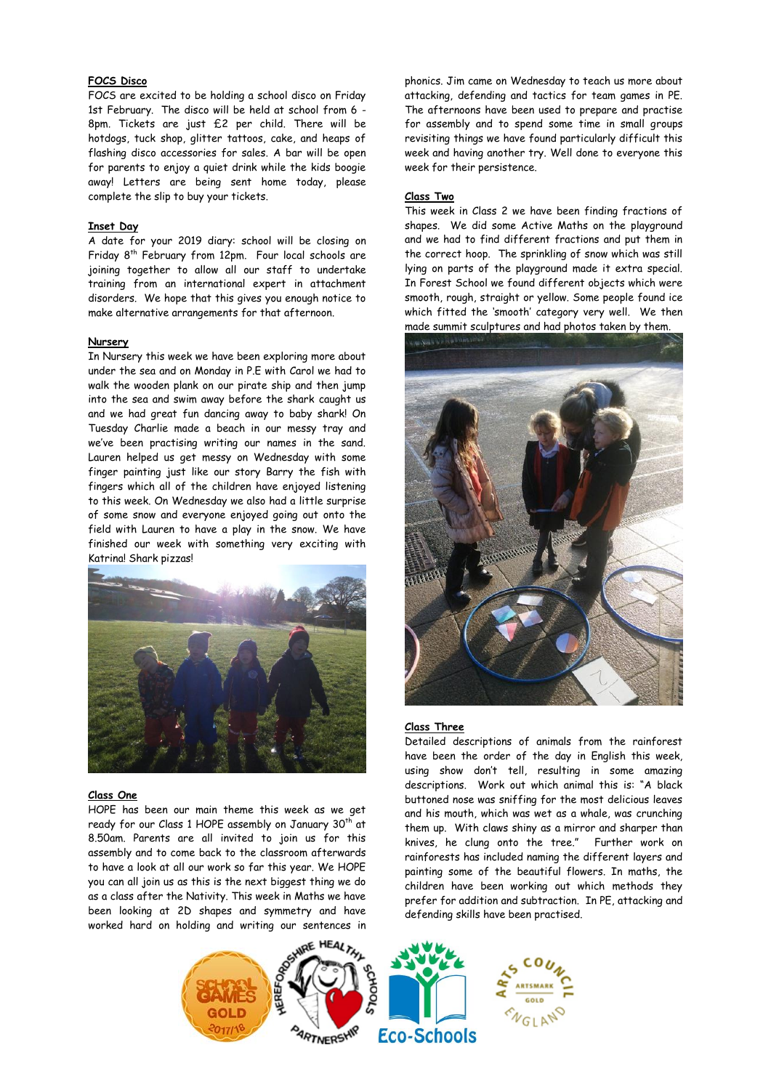# **FOCS Disco**

FOCS are excited to be holding a school disco on Friday 1st February. The disco will be held at school from 6 - 8pm. Tickets are just £2 per child. There will be hotdogs, tuck shop, glitter tattoos, cake, and heaps of flashing disco accessories for sales. A bar will be open for parents to enjoy a quiet drink while the kids boogie away! Letters are being sent home today, please complete the slip to buy your tickets.

### **Inset Day**

A date for your 2019 diary: school will be closing on Friday 8th February from 12pm. Four local schools are joining together to allow all our staff to undertake training from an international expert in attachment disorders. We hope that this gives you enough notice to make alternative arrangements for that afternoon.

#### **Nursery**

In Nursery this week we have been exploring more about under the sea and on Monday in P.E with Carol we had to walk the wooden plank on our pirate ship and then jump into the sea and swim away before the shark caught us and we had great fun dancing away to baby shark! On Tuesday Charlie made a beach in our messy tray and we've been practising writing our names in the sand. Lauren helped us get messy on Wednesday with some finger painting just like our story Barry the fish with fingers which all of the children have enjoyed listening to this week. On Wednesday we also had a little surprise of some snow and everyone enjoyed going out onto the field with Lauren to have a play in the snow. We have finished our week with something very exciting with Katrina! Shark pizzas!



# **Class One**

HOPE has been our main theme this week as we get ready for our Class 1 HOPE assembly on January 30<sup>th</sup> at 8.50am. Parents are all invited to join us for this assembly and to come back to the classroom afterwards to have a look at all our work so far this year. We HOPE you can all join us as this is the next biggest thing we do as a class after the Nativity. This week in Maths we have been looking at 2D shapes and symmetry and have worked hard on holding and writing our sentences in phonics. Jim came on Wednesday to teach us more about attacking, defending and tactics for team games in PE. The afternoons have been used to prepare and practise for assembly and to spend some time in small groups revisiting things we have found particularly difficult this week and having another try. Well done to everyone this week for their persistence.

#### **Class Two**

This week in Class 2 we have been finding fractions of shapes. We did some Active Maths on the playground and we had to find different fractions and put them in the correct hoop. The sprinkling of snow which was still lying on parts of the playground made it extra special. In Forest School we found different objects which were smooth, rough, straight or yellow. Some people found ice which fitted the 'smooth' category very well. We then made summit sculptures and had photos taken by them.



## **Class Three**

Detailed descriptions of animals from the rainforest have been the order of the day in English this week, using show don't tell, resulting in some amazing descriptions. Work out which animal this is: "A black buttoned nose was sniffing for the most delicious leaves and his mouth, which was wet as a whale, was crunching them up. With claws shiny as a mirror and sharper than knives, he clung onto the tree." Further work on rainforests has included naming the different layers and painting some of the beautiful flowers. In maths, the children have been working out which methods they prefer for addition and subtraction. In PE, attacking and defending skills have been practised.